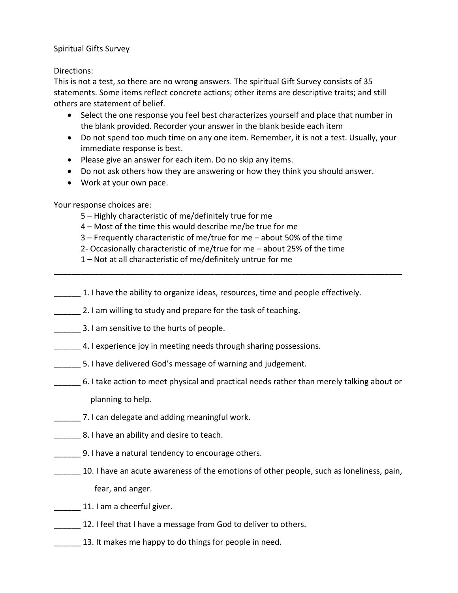Spiritual Gifts Survey

## Directions:

This is not a test, so there are no wrong answers. The spiritual Gift Survey consists of 35 statements. Some items reflect concrete actions; other items are descriptive traits; and still others are statement of belief.

- Select the one response you feel best characterizes yourself and place that number in the blank provided. Recorder your answer in the blank beside each item
- Do not spend too much time on any one item. Remember, it is not a test. Usually, your immediate response is best.
- Please give an answer for each item. Do no skip any items.
- Do not ask others how they are answering or how they think you should answer.
- Work at your own pace.

## Your response choices are:

- 5 Highly characteristic of me/definitely true for me
- 4 Most of the time this would describe me/be true for me
- 3 Frequently characteristic of me/true for me about 50% of the time
- 2- Occasionally characteristic of me/true for me about 25% of the time
- 1 Not at all characteristic of me/definitely untrue for me
- 1. I have the ability to organize ideas, resources, time and people effectively.

\_\_\_\_\_\_\_\_\_\_\_\_\_\_\_\_\_\_\_\_\_\_\_\_\_\_\_\_\_\_\_\_\_\_\_\_\_\_\_\_\_\_\_\_\_\_\_\_\_\_\_\_\_\_\_\_\_\_\_\_\_\_\_\_\_\_\_\_\_\_\_\_\_\_\_\_\_\_

- **2. I am willing to study and prepare for the task of teaching.**
- **EXECUTE:** 3. I am sensitive to the hurts of people.
- 4. I experience joy in meeting needs through sharing possessions.
- 5. I have delivered God's message of warning and judgement.
- \_\_\_\_\_\_ 6. I take action to meet physical and practical needs rather than merely talking about or planning to help.
- \_\_\_\_\_\_ 7. I can delegate and adding meaningful work.
- **\_\_\_\_\_** 8. I have an ability and desire to teach.
- 9. I have a natural tendency to encourage others.
- 10. I have an acute awareness of the emotions of other people, such as loneliness, pain, fear, and anger.
- 11. I am a cheerful giver.
- 12. I feel that I have a message from God to deliver to others.
- **13.** It makes me happy to do things for people in need.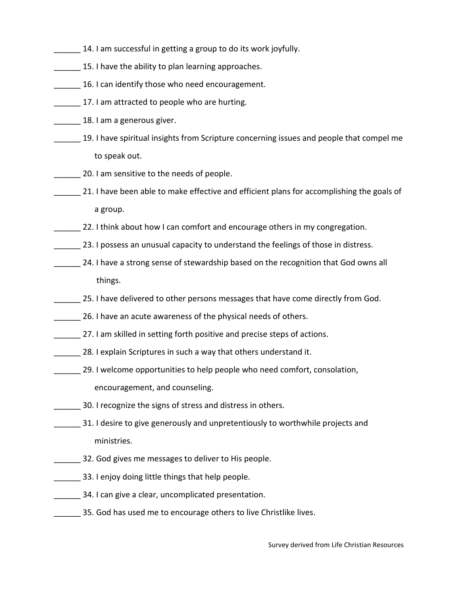- 14. I am successful in getting a group to do its work joyfully.
- 15. I have the ability to plan learning approaches.
- \_\_\_\_\_\_ 16. I can identify those who need encouragement.
- 17. I am attracted to people who are hurting.
- 18. I am a generous giver.
- 19. I have spiritual insights from Scripture concerning issues and people that compel me to speak out.
- \_\_\_\_\_\_ 20. I am sensitive to the needs of people.
- 21. I have been able to make effective and efficient plans for accomplishing the goals of a group.
- 22. I think about how I can comfort and encourage others in my congregation.
- 23. I possess an unusual capacity to understand the feelings of those in distress.
- 24. I have a strong sense of stewardship based on the recognition that God owns all things.
- **EXECTE 25. I have delivered to other persons messages that have come directly from God.**
- 26. I have an acute awareness of the physical needs of others.
- 27. I am skilled in setting forth positive and precise steps of actions.
- 28. I explain Scriptures in such a way that others understand it.
- \_\_\_\_\_\_ 29. I welcome opportunities to help people who need comfort, consolation, encouragement, and counseling.
- 30. I recognize the signs of stress and distress in others.
- **EXEC 31. I desire to give generously and unpretentiously to worthwhile projects and** ministries.
- 32. God gives me messages to deliver to His people.
- 33. I enjoy doing little things that help people.
- 34. I can give a clear, uncomplicated presentation.
- 35. God has used me to encourage others to live Christlike lives.